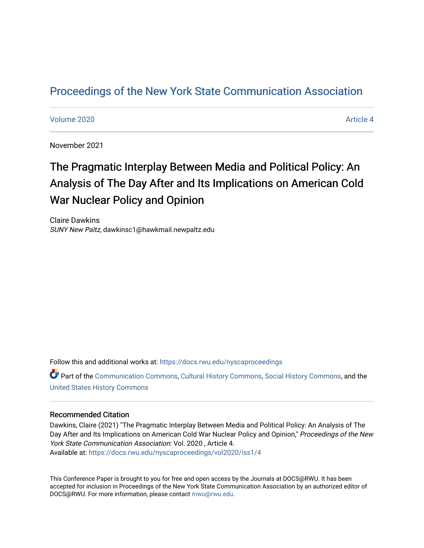# [Proceedings of the New York State Communication Association](https://docs.rwu.edu/nyscaproceedings)

#### [Volume 2020](https://docs.rwu.edu/nyscaproceedings/vol2020) **Article 4** Article 4

November 2021

# The Pragmatic Interplay Between Media and Political Policy: An Analysis of The Day After and Its Implications on American Cold War Nuclear Policy and Opinion

Claire Dawkins SUNY New Paltz, dawkinsc1@hawkmail.newpaltz.edu

Follow this and additional works at: [https://docs.rwu.edu/nyscaproceedings](https://docs.rwu.edu/nyscaproceedings?utm_source=docs.rwu.edu%2Fnyscaproceedings%2Fvol2020%2Fiss1%2F4&utm_medium=PDF&utm_campaign=PDFCoverPages)

Part of the [Communication Commons,](http://network.bepress.com/hgg/discipline/325?utm_source=docs.rwu.edu%2Fnyscaproceedings%2Fvol2020%2Fiss1%2F4&utm_medium=PDF&utm_campaign=PDFCoverPages) [Cultural History Commons](http://network.bepress.com/hgg/discipline/496?utm_source=docs.rwu.edu%2Fnyscaproceedings%2Fvol2020%2Fiss1%2F4&utm_medium=PDF&utm_campaign=PDFCoverPages), [Social History Commons,](http://network.bepress.com/hgg/discipline/506?utm_source=docs.rwu.edu%2Fnyscaproceedings%2Fvol2020%2Fiss1%2F4&utm_medium=PDF&utm_campaign=PDFCoverPages) and the [United States History Commons](http://network.bepress.com/hgg/discipline/495?utm_source=docs.rwu.edu%2Fnyscaproceedings%2Fvol2020%2Fiss1%2F4&utm_medium=PDF&utm_campaign=PDFCoverPages)

#### Recommended Citation

Dawkins, Claire (2021) "The Pragmatic Interplay Between Media and Political Policy: An Analysis of The Day After and Its Implications on American Cold War Nuclear Policy and Opinion," Proceedings of the New York State Communication Association: Vol. 2020 , Article 4. Available at: [https://docs.rwu.edu/nyscaproceedings/vol2020/iss1/4](https://docs.rwu.edu/nyscaproceedings/vol2020/iss1/4?utm_source=docs.rwu.edu%2Fnyscaproceedings%2Fvol2020%2Fiss1%2F4&utm_medium=PDF&utm_campaign=PDFCoverPages)

This Conference Paper is brought to you for free and open access by the Journals at DOCS@RWU. It has been accepted for inclusion in Proceedings of the New York State Communication Association by an authorized editor of DOCS@RWU. For more information, please contact [mwu@rwu.edu.](mailto:mwu@rwu.edu)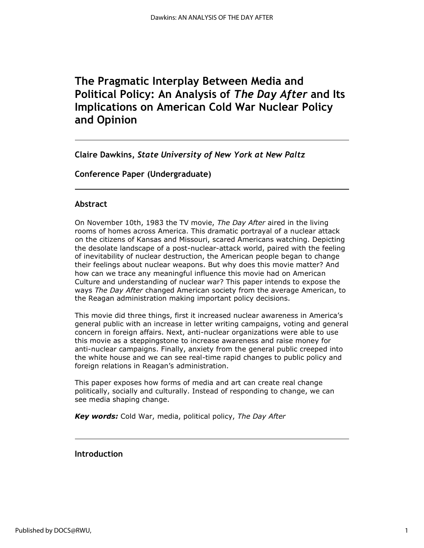# **The Pragmatic Interplay Between Media and Political Policy: An Analysis of** *The Day After* **and Its Implications on American Cold War Nuclear Policy and Opinion**

**Claire Dawkins,** *State University of New York at New Paltz*

**Conference Paper (Undergraduate)**

# **Abstract**

On November 10th, 1983 the TV movie, *The Day After* aired in the living rooms of homes across America. This dramatic portrayal of a nuclear attack on the citizens of Kansas and Missouri, scared Americans watching. Depicting the desolate landscape of a post-nuclear-attack world, paired with the feeling of inevitability of nuclear destruction, the American people began to change their feelings about nuclear weapons. But why does this movie matter? And how can we trace any meaningful influence this movie had on American Culture and understanding of nuclear war? This paper intends to expose the ways *The Day After* changed American society from the average American, to the Reagan administration making important policy decisions.

This movie did three things, first it increased nuclear awareness in America's general public with an increase in letter writing campaigns, voting and general concern in foreign affairs. Next, anti-nuclear organizations were able to use this movie as a steppingstone to increase awareness and raise money for anti-nuclear campaigns. Finally, anxiety from the general public creeped into the white house and we can see real-time rapid changes to public policy and foreign relations in Reagan's administration.

This paper exposes how forms of media and art can create real change politically, socially and culturally. Instead of responding to change, we can see media shaping change.

*Key words:* Cold War, media, political policy, *The Day After*

**Introduction**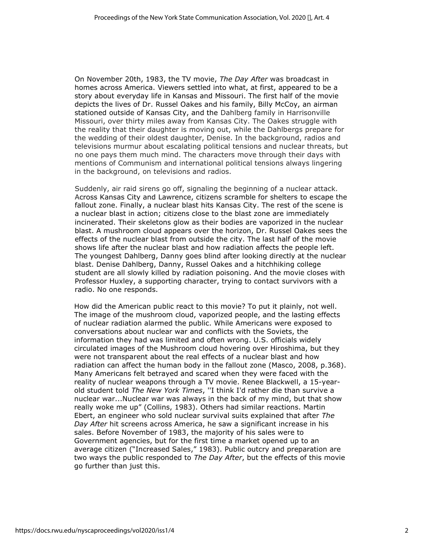On November 20th, 1983, the TV movie, *The Day After* was broadcast in homes across America. Viewers settled into what, at first, appeared to be a story about everyday life in Kansas and Missouri. The first half of the movie depicts the lives of Dr. Russel Oakes and his family, Billy McCoy, an airman stationed outside of Kansas City, and the Dahlberg family in Harrisonville Missouri, over thirty miles away from Kansas City. The Oakes struggle with the reality that their daughter is moving out, while the Dahlbergs prepare for the wedding of their oldest daughter, Denise. In the background, radios and televisions murmur about escalating political tensions and nuclear threats, but no one pays them much mind. The characters move through their days with mentions of Communism and international political tensions always lingering in the background, on televisions and radios.

Suddenly, air raid sirens go off, signaling the beginning of a nuclear attack. Across Kansas City and Lawrence, citizens scramble for shelters to escape the fallout zone. Finally, a nuclear blast hits Kansas City. The rest of the scene is a nuclear blast in action; citizens close to the blast zone are immediately incinerated. Their skeletons glow as their bodies are vaporized in the nuclear blast. A mushroom cloud appears over the horizon, Dr. Russel Oakes sees the effects of the nuclear blast from outside the city. The last half of the movie shows life after the nuclear blast and how radiation affects the people left. The youngest Dahlberg, Danny goes blind after looking directly at the nuclear blast. Denise Dahlberg, Danny, Russel Oakes and a hitchhiking college student are all slowly killed by radiation poisoning. And the movie closes with Professor Huxley, a supporting character, trying to contact survivors with a radio. No one responds.

How did the American public react to this movie? To put it plainly, not well. The image of the mushroom cloud, vaporized people, and the lasting effects of nuclear radiation alarmed the public. While Americans were exposed to conversations about nuclear war and conflicts with the Soviets, the information they had was limited and often wrong. U.S. officials widely circulated images of the Mushroom cloud hovering over Hiroshima, but they were not transparent about the real effects of a nuclear blast and how radiation can affect the human body in the fallout zone (Masco, 2008, p.368). Many Americans felt betrayed and scared when they were faced with the reality of nuclear weapons through a TV movie. Renee Blackwell, a 15-yearold student told *The New York Times*, ''I think I'd rather die than survive a nuclear war...Nuclear war was always in the back of my mind, but that show really woke me up" (Collins, 1983). Others had similar reactions. Martin Ebert, an engineer who sold nuclear survival suits explained that after *The Day After* hit screens across America, he saw a significant increase in his sales. Before November of 1983, the majority of his sales were to Government agencies, but for the first time a market opened up to an average citizen ("Increased Sales," 1983). Public outcry and preparation are two ways the public responded to *The Day After*, but the effects of this movie go further than just this.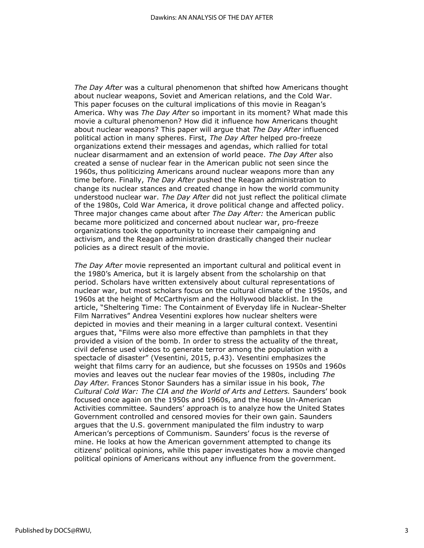*The Day After* was a cultural phenomenon that shifted how Americans thought about nuclear weapons, Soviet and American relations, and the Cold War. This paper focuses on the cultural implications of this movie in Reagan's America. Why was *The Day After* so important in its moment? What made this movie a cultural phenomenon? How did it influence how Americans thought about nuclear weapons? This paper will argue that *The Day After* influenced political action in many spheres. First, *The Day After* helped pro-freeze organizations extend their messages and agendas, which rallied for total nuclear disarmament and an extension of world peace. *The Day After* also created a sense of nuclear fear in the American public not seen since the 1960s, thus politicizing Americans around nuclear weapons more than any time before. Finally, *The Day After* pushed the Reagan administration to change its nuclear stances and created change in how the world community understood nuclear war. *The Day After* did not just reflect the political climate of the 1980s, Cold War America, it drove political change and affected policy. Three major changes came about after *The Day After:* the American public became more politicized and concerned about nuclear war, pro-freeze organizations took the opportunity to increase their campaigning and activism, and the Reagan administration drastically changed their nuclear policies as a direct result of the movie.

*The Day After* movie represented an important cultural and political event in the 1980's America, but it is largely absent from the scholarship on that period. Scholars have written extensively about cultural representations of nuclear war, but most scholars focus on the cultural climate of the 1950s, and 1960s at the height of McCarthyism and the Hollywood blacklist. In the article, "Sheltering Time: The Containment of Everyday life in Nuclear-Shelter Film Narratives" Andrea Vesentini explores how nuclear shelters were depicted in movies and their meaning in a larger cultural context. Vesentini argues that, "Films were also more effective than pamphlets in that they provided a vision of the bomb. In order to stress the actuality of the threat, civil defense used videos to generate terror among the population with a spectacle of disaster" (Vesentini, 2015, p.43). Vesentini emphasizes the weight that films carry for an audience, but she focusses on 1950s and 1960s movies and leaves out the nuclear fear movies of the 1980s, including *The Day After.* Frances Stonor Saunders has a similar issue in his book, *The Cultural Cold War: The CIA and the World of Arts and Letters.* Saunders' book focused once again on the 1950s and 1960s, and the House Un-American Activities committee. Saunders' approach is to analyze how the United States Government controlled and censored movies for their own gain. Saunders argues that the U.S. government manipulated the film industry to warp American's perceptions of Communism. Saunders' focus is the reverse of mine. He looks at how the American government attempted to change its citizens' political opinions, while this paper investigates how a movie changed political opinions of Americans without any influence from the government.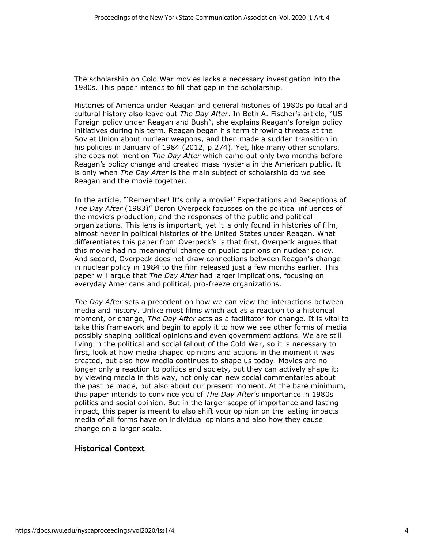The scholarship on Cold War movies lacks a necessary investigation into the 1980s. This paper intends to fill that gap in the scholarship.

Histories of America under Reagan and general histories of 1980s political and cultural history also leave out *The Day After*. In Beth A. Fischer's article, "US Foreign policy under Reagan and Bush", she explains Reagan's foreign policy initiatives during his term. Reagan began his term throwing threats at the Soviet Union about nuclear weapons, and then made a sudden transition in his policies in January of 1984 (2012, p.274). Yet, like many other scholars, she does not mention *The Day After* which came out only two months before Reagan's policy change and created mass hysteria in the American public. It is only when *The Day After* is the main subject of scholarship do we see Reagan and the movie together.

In the article, "'Remember! It's only a movie!' Expectations and Receptions of *The Day After* (1983)" Deron Overpeck focusses on the political influences of the movie's production, and the responses of the public and political organizations. This lens is important, yet it is only found in histories of film, almost never in political histories of the United States under Reagan. What differentiates this paper from Overpeck's is that first, Overpeck argues that this movie had no meaningful change on public opinions on nuclear policy. And second, Overpeck does not draw connections between Reagan's change in nuclear policy in 1984 to the film released just a few months earlier. This paper will argue that *The Day After* had larger implications, focusing on everyday Americans and political, pro-freeze organizations.

*The Day After* sets a precedent on how we can view the interactions between media and history. Unlike most films which act as a reaction to a historical moment, or change, *The Day After* acts as a facilitator for change. It is vital to take this framework and begin to apply it to how we see other forms of media possibly shaping political opinions and even government actions. We are still living in the political and social fallout of the Cold War, so it is necessary to first, look at how media shaped opinions and actions in the moment it was created, but also how media continues to shape us today. Movies are no longer only a reaction to politics and society, but they can actively shape it; by viewing media in this way, not only can new social commentaries about the past be made, but also about our present moment. At the bare minimum, this paper intends to convince you of *The Day After*'s importance in 1980s politics and social opinion. But in the larger scope of importance and lasting impact, this paper is meant to also shift your opinion on the lasting impacts media of all forms have on individual opinions and also how they cause change on a larger scale.

# **Historical Context**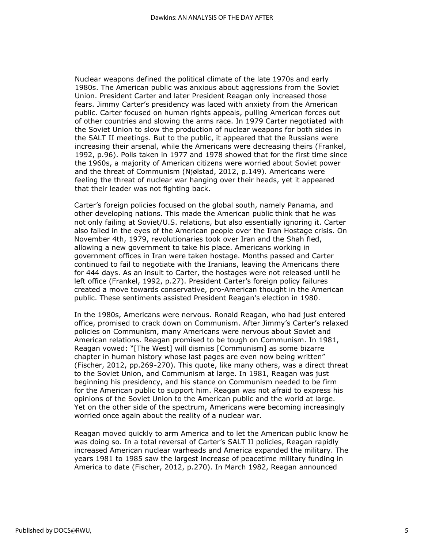Nuclear weapons defined the political climate of the late 1970s and early 1980s. The American public was anxious about aggressions from the Soviet Union. President Carter and later President Reagan only increased those fears. Jimmy Carter's presidency was laced with anxiety from the American public. Carter focused on human rights appeals, pulling American forces out of other countries and slowing the arms race. In 1979 Carter negotiated with the Soviet Union to slow the production of nuclear weapons for both sides in the SALT II meetings. But to the public, it appeared that the Russians were increasing their arsenal, while the Americans were decreasing theirs (Frankel, 1992, p.96). Polls taken in 1977 and 1978 showed that for the first time since the 1960s, a majority of American citizens were worried about Soviet power and the threat of Communism (Njølstad, 2012, p.149). Americans were feeling the threat of nuclear war hanging over their heads, yet it appeared that their leader was not fighting back.

Carter's foreign policies focused on the global south, namely Panama, and other developing nations. This made the American public think that he was not only failing at Soviet/U.S. relations, but also essentially ignoring it. Carter also failed in the eyes of the American people over the Iran Hostage crisis. On November 4th, 1979, revolutionaries took over Iran and the Shah fled, allowing a new government to take his place. Americans working in government offices in Iran were taken hostage. Months passed and Carter continued to fail to negotiate with the Iranians, leaving the Americans there for 444 days. As an insult to Carter, the hostages were not released until he left office (Frankel, 1992, p.27). President Carter's foreign policy failures created a move towards conservative, pro-American thought in the American public. These sentiments assisted President Reagan's election in 1980.

In the 1980s, Americans were nervous. Ronald Reagan, who had just entered office, promised to crack down on Communism. After Jimmy's Carter's relaxed policies on Communism, many Americans were nervous about Soviet and American relations. Reagan promised to be tough on Communism. In 1981, Reagan vowed: "[The West] will dismiss [Communism] as some bizarre chapter in human history whose last pages are even now being written" (Fischer, 2012, pp.269-270). This quote, like many others, was a direct threat to the Soviet Union, and Communism at large. In 1981, Reagan was just beginning his presidency, and his stance on Communism needed to be firm for the American public to support him. Reagan was not afraid to express his opinions of the Soviet Union to the American public and the world at large. Yet on the other side of the spectrum, Americans were becoming increasingly worried once again about the reality of a nuclear war.

Reagan moved quickly to arm America and to let the American public know he was doing so. In a total reversal of Carter's SALT II policies, Reagan rapidly increased American nuclear warheads and America expanded the military. The years 1981 to 1985 saw the largest increase of peacetime military funding in America to date (Fischer, 2012, p.270). In March 1982, Reagan announced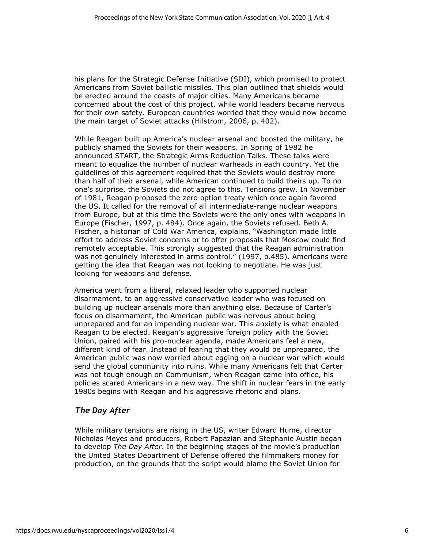his plans for the Strategic Defense Initiative (SDI), which promised to protect Americans from Soviet ballistic missiles. This plan outlined that shields would be erected around the coasts of major cities. Many Americans became concerned about the cost of this project, while world leaders became nervous for their own safety. European countries worried that they would now become the main target of Soviet attacks (Hilstrom, 2006, p. 402).

While Reagan built up America's nuclear arsenal and boosted the military, he publicly shamed the Soviets for their weapons. In Spring of 1982 he announced START, the Strategic Arms Reduction Talks. These talks were meant to equalize the number of nuclear warheads in each country. Yet the guidelines of this agreement required that the Soviets would destroy more than half of their arsenal, while American continued to build theirs up. To no one's surprise, the Soviets did not agree to this. Tensions grew. In November of 1981, Reagan proposed the zero option treaty which once again favored the US. It called for the removal of all intermediate-range nuclear weapons from Europe, but at this time the Soviets were the only ones with weapons in Europe (Fischer, 1997, p. 484). Once again, the Soviets refused. Beth A. Fischer, a historian of Cold War America, explains, "Washington made little effort to address Soviet concerns or to offer proposals that Moscow could find remotely acceptable. This strongly suggested that the Reagan administration was not genuinely interested in arms control." (1997, p.485). Americans were getting the idea that Reagan was not looking to negotiate. He was just looking for weapons and defense.

America went from a liberal, relaxed leader who supported nuclear disarmament, to an aggressive conservative leader who was focused on building up nuclear arsenals more than anything else. Because of Carter's focus on disarmament, the American public was nervous about being unprepared and for an impending nuclear war. This anxiety is what enabled Reagan to be elected. Reagan's aggressive foreign policy with the Soviet Union, paired with his pro-nuclear agenda, made Americans feel a new, different kind of fear. Instead of fearing that they would be unprepared, the American public was now worried about egging on a nuclear war which would send the global community into ruins. While many Americans felt that Carter was not tough enough on Communism, when Reagan came into office, his policies scared Americans in a new way. The shift in nuclear fears in the early 1980s begins with Reagan and his aggressive rhetoric and plans.

# *The Day After*

While military tensions are rising in the US, writer Edward Hume, director Nicholas Meyes and producers, Robert Papazian and Stephanie Austin began to develop *The Day After*. In the beginning stages of the movie's production the United States Department of Defense offered the filmmakers money for production, on the grounds that the script would blame the Soviet Union for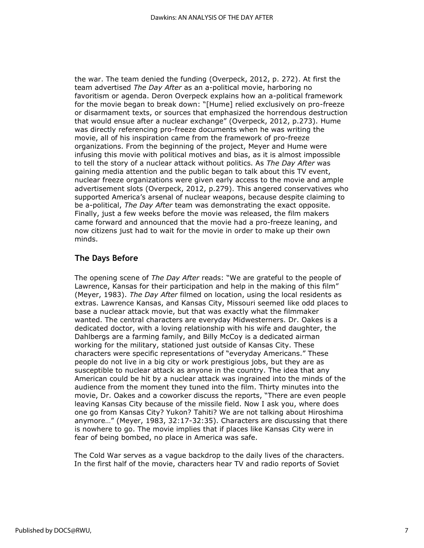the war. The team denied the funding (Overpeck, 2012, p. 272). At first the team advertised *The Day After* as an a-political movie, harboring no favoritism or agenda. Deron Overpeck explains how an a-political framework for the movie began to break down: "[Hume] relied exclusively on pro-freeze or disarmament texts, or sources that emphasized the horrendous destruction that would ensue after a nuclear exchange" (Overpeck, 2012, p.273). Hume was directly referencing pro-freeze documents when he was writing the movie, all of his inspiration came from the framework of pro-freeze organizations. From the beginning of the project, Meyer and Hume were infusing this movie with political motives and bias, as it is almost impossible to tell the story of a nuclear attack without politics. As *The Day After* was gaining media attention and the public began to talk about this TV event, nuclear freeze organizations were given early access to the movie and ample advertisement slots (Overpeck, 2012, p.279). This angered conservatives who supported America's arsenal of nuclear weapons, because despite claiming to be a-political, *The Day After* team was demonstrating the exact opposite. Finally, just a few weeks before the movie was released, the film makers came forward and announced that the movie had a pro-freeze leaning, and now citizens just had to wait for the movie in order to make up their own minds.

# **The Days Before**

The opening scene of *The Day After* reads: "We are grateful to the people of Lawrence, Kansas for their participation and help in the making of this film" (Meyer, 1983). *The Day After* filmed on location, using the local residents as extras. Lawrence Kansas, and Kansas City, Missouri seemed like odd places to base a nuclear attack movie, but that was exactly what the filmmaker wanted. The central characters are everyday Midwesterners. Dr. Oakes is a dedicated doctor, with a loving relationship with his wife and daughter, the Dahlbergs are a farming family, and Billy McCoy is a dedicated airman working for the military, stationed just outside of Kansas City. These characters were specific representations of "everyday Americans." These people do not live in a big city or work prestigious jobs, but they are as susceptible to nuclear attack as anyone in the country. The idea that any American could be hit by a nuclear attack was ingrained into the minds of the audience from the moment they tuned into the film. Thirty minutes into the movie, Dr. Oakes and a coworker discuss the reports, "There are even people leaving Kansas City because of the missile field. Now I ask you, where does one go from Kansas City? Yukon? Tahiti? We are not talking about Hiroshima anymore…" (Meyer, 1983, 32:17-32:35). Characters are discussing that there is nowhere to go. The movie implies that if places like Kansas City were in fear of being bombed, no place in America was safe.

The Cold War serves as a vague backdrop to the daily lives of the characters. In the first half of the movie, characters hear TV and radio reports of Soviet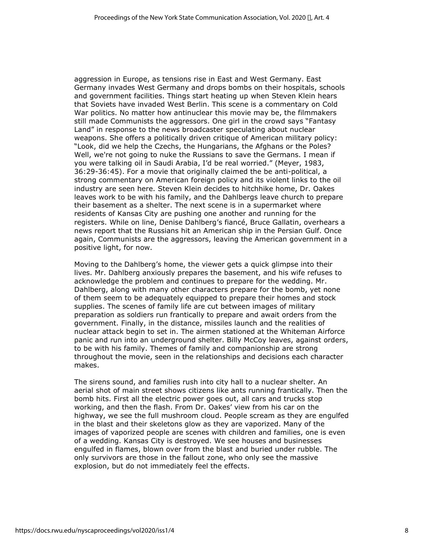aggression in Europe, as tensions rise in East and West Germany. East Germany invades West Germany and drops bombs on their hospitals, schools and government facilities. Things start heating up when Steven Klein hears that Soviets have invaded West Berlin. This scene is a commentary on Cold War politics. No matter how antinuclear this movie may be, the filmmakers still made Communists the aggressors. One girl in the crowd says "Fantasy Land" in response to the news broadcaster speculating about nuclear weapons. She offers a politically driven critique of American military policy: "Look, did we help the Czechs, the Hungarians, the Afghans or the Poles? Well, we're not going to nuke the Russians to save the Germans. I mean if you were talking oil in Saudi Arabia, I'd be real worried." (Meyer, 1983, 36:29-36:45). For a movie that originally claimed the be anti-political, a strong commentary on American foreign policy and its violent links to the oil industry are seen here. Steven Klein decides to hitchhike home, Dr. Oakes leaves work to be with his family, and the Dahlbergs leave church to prepare their basement as a shelter. The next scene is in a supermarket where residents of Kansas City are pushing one another and running for the registers. While on line, Denise Dahlberg's fiancé, Bruce Gallatin, overhears a news report that the Russians hit an American ship in the Persian Gulf. Once again, Communists are the aggressors, leaving the American government in a positive light, for now.

Moving to the Dahlberg's home, the viewer gets a quick glimpse into their lives. Mr. Dahlberg anxiously prepares the basement, and his wife refuses to acknowledge the problem and continues to prepare for the wedding. Mr. Dahlberg, along with many other characters prepare for the bomb, yet none of them seem to be adequately equipped to prepare their homes and stock supplies. The scenes of family life are cut between images of military preparation as soldiers run frantically to prepare and await orders from the government. Finally, in the distance, missiles launch and the realities of nuclear attack begin to set in. The airmen stationed at the Whiteman Airforce panic and run into an underground shelter. Billy McCoy leaves, against orders, to be with his family. Themes of family and companionship are strong throughout the movie, seen in the relationships and decisions each character makes.

The sirens sound, and families rush into city hall to a nuclear shelter. An aerial shot of main street shows citizens like ants running frantically. Then the bomb hits. First all the electric power goes out, all cars and trucks stop working, and then the flash. From Dr. Oakes' view from his car on the highway, we see the full mushroom cloud. People scream as they are engulfed in the blast and their skeletons glow as they are vaporized. Many of the images of vaporized people are scenes with children and families, one is even of a wedding. Kansas City is destroyed. We see houses and businesses engulfed in flames, blown over from the blast and buried under rubble. The only survivors are those in the fallout zone, who only see the massive explosion, but do not immediately feel the effects.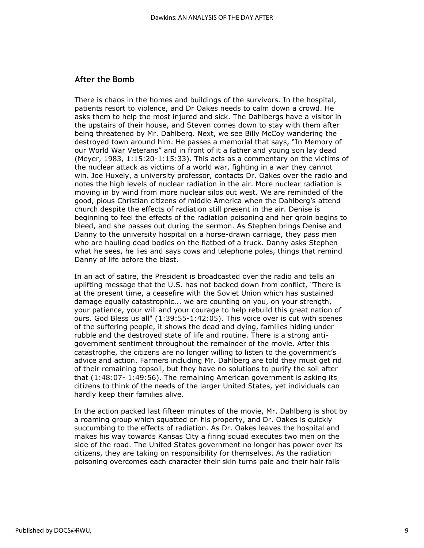### **After the Bomb**

There is chaos in the homes and buildings of the survivors. In the hospital, patients resort to violence, and Dr Oakes needs to calm down a crowd. He asks them to help the most injured and sick. The Dahlbergs have a visitor in the upstairs of their house, and Steven comes down to stay with them after being threatened by Mr. Dahlberg. Next, we see Billy McCoy wandering the destroyed town around him. He passes a memorial that says, "In Memory of our World War Veterans" and in front of it a father and young son lay dead (Meyer, 1983, 1:15:20-1:15:33). This acts as a commentary on the victims of the nuclear attack as victims of a world war, fighting in a war they cannot win. Joe Huxely, a university professor, contacts Dr. Oakes over the radio and notes the high levels of nuclear radiation in the air. More nuclear radiation is moving in by wind from more nuclear silos out west. We are reminded of the good, pious Christian citizens of middle America when the Dahlberg's attend church despite the effects of radiation still present in the air. Denise is beginning to feel the effects of the radiation poisoning and her groin begins to bleed, and she passes out during the sermon. As Stephen brings Denise and Danny to the university hospital on a horse-drawn carriage, they pass men who are hauling dead bodies on the flatbed of a truck. Danny asks Stephen what he sees, he lies and says cows and telephone poles, things that remind Danny of life before the blast.

In an act of satire, the President is broadcasted over the radio and tells an uplifting message that the U.S. has not backed down from conflict, "There is at the present time, a ceasefire with the Soviet Union which has sustained damage equally catastrophic... we are counting on you, on your strength, your patience, your will and your courage to help rebuild this great nation of ours. God Bless us all" (1:39:55-1:42:05). This voice over is cut with scenes of the suffering people, it shows the dead and dying, families hiding under rubble and the destroyed state of life and routine. There is a strong antigovernment sentiment throughout the remainder of the movie. After this catastrophe, the citizens are no longer willing to listen to the government's advice and action. Farmers including Mr. Dahlberg are told they must get rid of their remaining topsoil, but they have no solutions to purify the soil after that (1:48:07- 1:49:56). The remaining American government is asking its citizens to think of the needs of the larger United States, yet individuals can hardly keep their families alive.

In the action packed last fifteen minutes of the movie, Mr. Dahlberg is shot by a roaming group which squatted on his property, and Dr. Oakes is quickly succumbing to the effects of radiation. As Dr. Oakes leaves the hospital and makes his way towards Kansas City a firing squad executes two men on the side of the road. The United States government no longer has power over its citizens, they are taking on responsibility for themselves. As the radiation poisoning overcomes each character their skin turns pale and their hair falls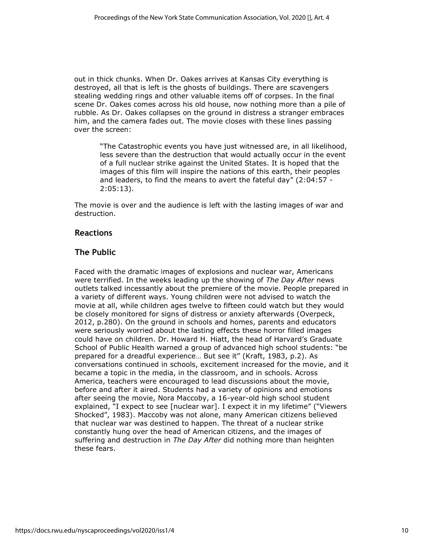out in thick chunks. When Dr. Oakes arrives at Kansas City everything is destroyed, all that is left is the ghosts of buildings. There are scavengers stealing wedding rings and other valuable items off of corpses. In the final scene Dr. Oakes comes across his old house, now nothing more than a pile of rubble. As Dr. Oakes collapses on the ground in distress a stranger embraces him, and the camera fades out. The movie closes with these lines passing over the screen:

"The Catastrophic events you have just witnessed are, in all likelihood, less severe than the destruction that would actually occur in the event of a full nuclear strike against the United States. It is hoped that the images of this film will inspire the nations of this earth, their peoples and leaders, to find the means to avert the fateful day" (2:04:57 - 2:05:13).

The movie is over and the audience is left with the lasting images of war and destruction.

# **Reactions**

# **The Public**

Faced with the dramatic images of explosions and nuclear war, Americans were terrified. In the weeks leading up the showing of *The Day After* news outlets talked incessantly about the premiere of the movie. People prepared in a variety of different ways. Young children were not advised to watch the movie at all, while children ages twelve to fifteen could watch but they would be closely monitored for signs of distress or anxiety afterwards (Overpeck, 2012, p.280). On the ground in schools and homes, parents and educators were seriously worried about the lasting effects these horror filled images could have on children. Dr. Howard H. Hiatt, the head of Harvard's Graduate School of Public Health warned a group of advanced high school students: "be prepared for a dreadful experience… But see it" (Kraft, 1983, p.2). As conversations continued in schools, excitement increased for the movie, and it became a topic in the media, in the classroom, and in schools. Across America, teachers were encouraged to lead discussions about the movie, before and after it aired. Students had a variety of opinions and emotions after seeing the movie, Nora Maccoby, a 16-year-old high school student explained, "I expect to see [nuclear war]. I expect it in my lifetime" ("Viewers Shocked", 1983). Maccoby was not alone, many American citizens believed that nuclear war was destined to happen. The threat of a nuclear strike constantly hung over the head of American citizens, and the images of suffering and destruction in *The Day After* did nothing more than heighten these fears.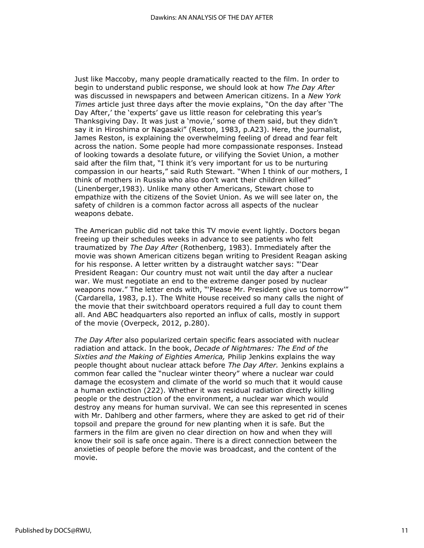Just like Maccoby, many people dramatically reacted to the film. In order to begin to understand public response, we should look at how *The Day After*  was discussed in newspapers and between American citizens. In a *New York Times* article just three days after the movie explains, "On the day after 'The Day After,' the 'experts' gave us little reason for celebrating this year's Thanksgiving Day. It was just a 'movie,' some of them said, but they didn't say it in Hiroshima or Nagasaki" (Reston, 1983, p.A23). Here, the journalist, James Reston, is explaining the overwhelming feeling of dread and fear felt across the nation. Some people had more compassionate responses. Instead of looking towards a desolate future, or vilifying the Soviet Union, a mother said after the film that, "I think it's very important for us to be nurturing compassion in our hearts," said Ruth Stewart. "When I think of our mothers, I think of mothers in Russia who also don't want their children killed" (Linenberger,1983). Unlike many other Americans, Stewart chose to empathize with the citizens of the Soviet Union. As we will see later on, the safety of children is a common factor across all aspects of the nuclear weapons debate.

The American public did not take this TV movie event lightly. Doctors began freeing up their schedules weeks in advance to see patients who felt traumatized by *The Day After* (Rothenberg, 1983). Immediately after the movie was shown American citizens began writing to President Reagan asking for his response. A letter written by a distraught watcher says: "'Dear President Reagan: Our country must not wait until the day after a nuclear war. We must negotiate an end to the extreme danger posed by nuclear weapons now." The letter ends with, "'Please Mr. President give us tomorrow'" (Cardarella, 1983, p.1). The White House received so many calls the night of the movie that their switchboard operators required a full day to count them all. And ABC headquarters also reported an influx of calls, mostly in support of the movie (Overpeck, 2012, p.280).

*The Day After* also popularized certain specific fears associated with nuclear radiation and attack. In the book, *Decade of Nightmares: The End of the Sixties and the Making of Eighties America,* Philip Jenkins explains the way people thought about nuclear attack before *The Day After.* Jenkins explains a common fear called the "nuclear winter theory" where a nuclear war could damage the ecosystem and climate of the world so much that it would cause a human extinction (222). Whether it was residual radiation directly killing people or the destruction of the environment, a nuclear war which would destroy any means for human survival. We can see this represented in scenes with Mr. Dahlberg and other farmers, where they are asked to get rid of their topsoil and prepare the ground for new planting when it is safe. But the farmers in the film are given no clear direction on how and when they will know their soil is safe once again. There is a direct connection between the anxieties of people before the movie was broadcast, and the content of the movie.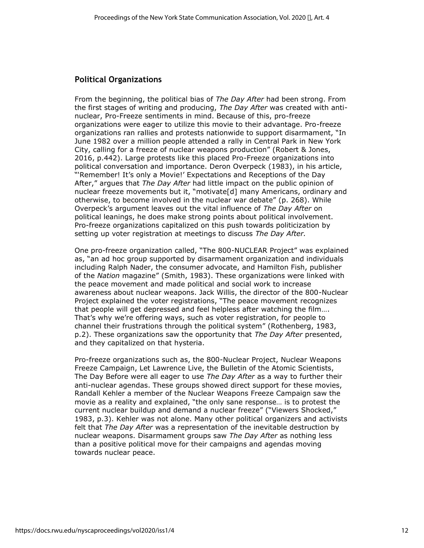# **Political Organizations**

From the beginning, the political bias of *The Day After* had been strong. From the first stages of writing and producing, *The Day After* was created with antinuclear, Pro-Freeze sentiments in mind. Because of this, pro-freeze organizations were eager to utilize this movie to their advantage. Pro-freeze organizations ran rallies and protests nationwide to support disarmament, "In June 1982 over a million people attended a rally in Central Park in New York City, calling for a freeze of nuclear weapons production" (Robert & Jones, 2016, p.442). Large protests like this placed Pro-Freeze organizations into political conversation and importance. Deron Overpeck (1983), in his article, "'Remember! It's only a Movie!' Expectations and Receptions of the Day After," argues that *The Day After* had little impact on the public opinion of nuclear freeze movements but it, "motivate[d] many Americans, ordinary and otherwise, to become involved in the nuclear war debate" (p. 268). While Overpeck's argument leaves out the vital influence of *The Day After* on political leanings, he does make strong points about political involvement. Pro-freeze organizations capitalized on this push towards politicization by setting up voter registration at meetings to discuss *The Day After.* 

One pro-freeze organization called, "The 800-NUCLEAR Project" was explained as, "an ad hoc group supported by disarmament organization and individuals including Ralph Nader, the consumer advocate, and Hamilton Fish, publisher of the *Nation* magazine" (Smith, 1983). These organizations were linked with the peace movement and made political and social work to increase awareness about nuclear weapons. Jack Willis, the director of the 800-Nuclear Project explained the voter registrations, "The peace movement recognizes that people will get depressed and feel helpless after watching the film…. That's why we're offering ways, such as voter registration, for people to channel their frustrations through the political system" (Rothenberg, 1983, p.2). These organizations saw the opportunity that *The Day After* presented, and they capitalized on that hysteria.

Pro-freeze organizations such as, the 800-Nuclear Project, Nuclear Weapons Freeze Campaign, Let Lawrence Live, the Bulletin of the Atomic Scientists, The Day Before were all eager to use *The Day After* as a way to further their anti-nuclear agendas. These groups showed direct support for these movies, Randall Kehler a member of the Nuclear Weapons Freeze Campaign saw the movie as a reality and explained, "the only sane response… is to protest the current nuclear buildup and demand a nuclear freeze" ("Viewers Shocked," 1983, p.3). Kehler was not alone. Many other political organizers and activists felt that *The Day After* was a representation of the inevitable destruction by nuclear weapons. Disarmament groups saw *The Day After* as nothing less than a positive political move for their campaigns and agendas moving towards nuclear peace.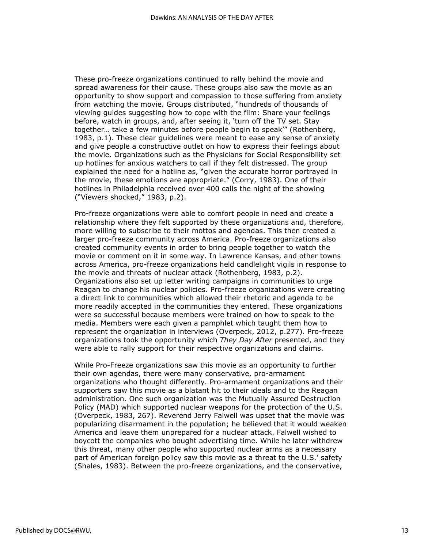These pro-freeze organizations continued to rally behind the movie and spread awareness for their cause. These groups also saw the movie as an opportunity to show support and compassion to those suffering from anxiety from watching the movie. Groups distributed, "hundreds of thousands of viewing guides suggesting how to cope with the film: Share your feelings before, watch in groups, and, after seeing it, 'turn off the TV set. Stay together… take a few minutes before people begin to speak'" (Rothenberg, 1983, p.1). These clear guidelines were meant to ease any sense of anxiety and give people a constructive outlet on how to express their feelings about the movie. Organizations such as the Physicians for Social Responsibility set up hotlines for anxious watchers to call if they felt distressed. The group explained the need for a hotline as, "given the accurate horror portrayed in the movie, these emotions are appropriate." (Corry, 1983). One of their hotlines in Philadelphia received over 400 calls the night of the showing ("Viewers shocked," 1983, p.2).

Pro-freeze organizations were able to comfort people in need and create a relationship where they felt supported by these organizations and, therefore, more willing to subscribe to their mottos and agendas. This then created a larger pro-freeze community across America. Pro-freeze organizations also created community events in order to bring people together to watch the movie or comment on it in some way. In Lawrence Kansas, and other towns across America, pro-freeze organizations held candlelight vigils in response to the movie and threats of nuclear attack (Rothenberg, 1983, p.2). Organizations also set up letter writing campaigns in communities to urge Reagan to change his nuclear policies. Pro-freeze organizations were creating a direct link to communities which allowed their rhetoric and agenda to be more readily accepted in the communities they entered. These organizations were so successful because members were trained on how to speak to the media. Members were each given a pamphlet which taught them how to represent the organization in interviews (Overpeck, 2012, p.277). Pro-freeze organizations took the opportunity which *They Day After* presented, and they were able to rally support for their respective organizations and claims.

While Pro-Freeze organizations saw this movie as an opportunity to further their own agendas, there were many conservative, pro-armament organizations who thought differently. Pro-armament organizations and their supporters saw this movie as a blatant hit to their ideals and to the Reagan administration. One such organization was the Mutually Assured Destruction Policy (MAD) which supported nuclear weapons for the protection of the U.S. (Overpeck, 1983, 267). Reverend Jerry Falwell was upset that the movie was popularizing disarmament in the population; he believed that it would weaken America and leave them unprepared for a nuclear attack. Falwell wished to boycott the companies who bought advertising time. While he later withdrew this threat, many other people who supported nuclear arms as a necessary part of American foreign policy saw this movie as a threat to the U.S.' safety (Shales, 1983). Between the pro-freeze organizations, and the conservative,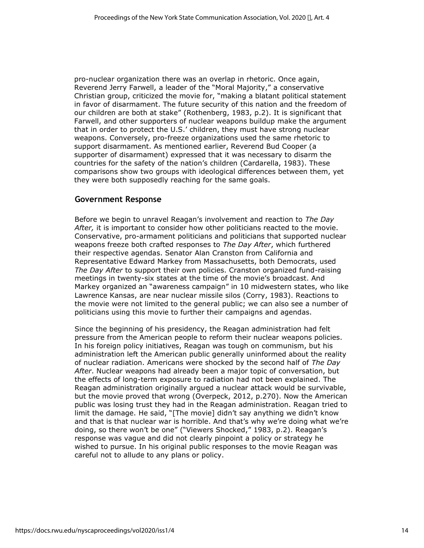pro-nuclear organization there was an overlap in rhetoric. Once again, Reverend Jerry Farwell, a leader of the "Moral Majority," a conservative Christian group, criticized the movie for, "making a blatant political statement in favor of disarmament. The future security of this nation and the freedom of our children are both at stake" (Rothenberg, 1983, p.2). It is significant that Farwell, and other supporters of nuclear weapons buildup make the argument that in order to protect the U.S.' children, they must have strong nuclear weapons. Conversely, pro-freeze organizations used the same rhetoric to support disarmament. As mentioned earlier, Reverend Bud Cooper (a supporter of disarmament) expressed that it was necessary to disarm the countries for the safety of the nation's children (Cardarella, 1983). These comparisons show two groups with ideological differences between them, yet they were both supposedly reaching for the same goals.

#### **Government Response**

Before we begin to unravel Reagan's involvement and reaction to *The Day After,* it is important to consider how other politicians reacted to the movie. Conservative, pro-armament politicians and politicians that supported nuclear weapons freeze both crafted responses to *The Day After*, which furthered their respective agendas. Senator Alan Cranston from California and Representative Edward Markey from Massachusetts, both Democrats, used *The Day After* to support their own policies. Cranston organized fund-raising meetings in twenty-six states at the time of the movie's broadcast. And Markey organized an "awareness campaign" in 10 midwestern states, who like Lawrence Kansas, are near nuclear missile silos (Corry, 1983). Reactions to the movie were not limited to the general public; we can also see a number of politicians using this movie to further their campaigns and agendas.

Since the beginning of his presidency, the Reagan administration had felt pressure from the American people to reform their nuclear weapons policies. In his foreign policy initiatives, Reagan was tough on communism, but his administration left the American public generally uninformed about the reality of nuclear radiation. Americans were shocked by the second half of *The Day After*. Nuclear weapons had already been a major topic of conversation, but the effects of long-term exposure to radiation had not been explained. The Reagan administration originally argued a nuclear attack would be survivable, but the movie proved that wrong (Overpeck, 2012, p.270). Now the American public was losing trust they had in the Reagan administration. Reagan tried to limit the damage. He said, "[The movie] didn't say anything we didn't know and that is that nuclear war is horrible. And that's why we're doing what we're doing, so there won't be one" ("Viewers Shocked," 1983, p.2). Reagan's response was vague and did not clearly pinpoint a policy or strategy he wished to pursue. In his original public responses to the movie Reagan was careful not to allude to any plans or policy.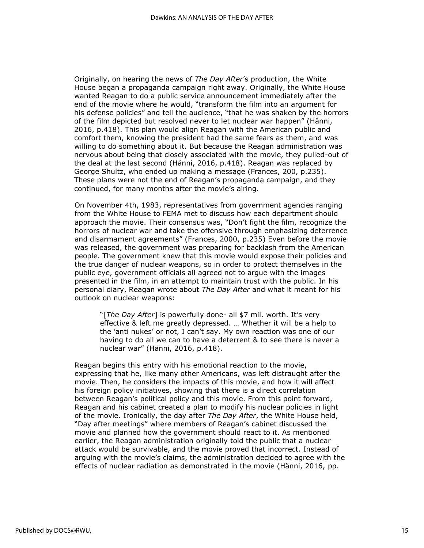Originally, on hearing the news of *The Day After*'s production, the White House began a propaganda campaign right away. Originally, the White House wanted Reagan to do a public service announcement immediately after the end of the movie where he would, "transform the film into an argument for his defense policies" and tell the audience, "that he was shaken by the horrors of the film depicted but resolved never to let nuclear war happen" (Hänni, 2016, p.418). This plan would align Reagan with the American public and comfort them, knowing the president had the same fears as them, and was willing to do something about it. But because the Reagan administration was nervous about being that closely associated with the movie, they pulled-out of the deal at the last second (Hänni, 2016, p.418). Reagan was replaced by George Shultz, who ended up making a message (Frances, 200, p.235). These plans were not the end of Reagan's propaganda campaign, and they continued, for many months after the movie's airing.

On November 4th, 1983, representatives from government agencies ranging from the White House to FEMA met to discuss how each department should approach the movie. Their consensus was, "Don't fight the film, recognize the horrors of nuclear war and take the offensive through emphasizing deterrence and disarmament agreements" (Frances, 2000, p.235) Even before the movie was released, the government was preparing for backlash from the American people. The government knew that this movie would expose their policies and the true danger of nuclear weapons, so in order to protect themselves in the public eye, government officials all agreed not to argue with the images presented in the film, in an attempt to maintain trust with the public. In his personal diary, Reagan wrote about *The Day After* and what it meant for his outlook on nuclear weapons:

"[*The Day After*] is powerfully done- all \$7 mil. worth. It's very effective & left me greatly depressed. … Whether it will be a help to the 'anti nukes' or not, I can't say. My own reaction was one of our having to do all we can to have a deterrent & to see there is never a nuclear war" (Hänni, 2016, p.418).

Reagan begins this entry with his emotional reaction to the movie, expressing that he, like many other Americans, was left distraught after the movie. Then, he considers the impacts of this movie, and how it will affect his foreign policy initiatives, showing that there is a direct correlation between Reagan's political policy and this movie. From this point forward, Reagan and his cabinet created a plan to modify his nuclear policies in light of the movie. Ironically, the day after *The Day After*, the White House held, "Day after meetings" where members of Reagan's cabinet discussed the movie and planned how the government should react to it. As mentioned earlier, the Reagan administration originally told the public that a nuclear attack would be survivable, and the movie proved that incorrect. Instead of arguing with the movie's claims, the administration decided to agree with the effects of nuclear radiation as demonstrated in the movie (Hänni, 2016, pp.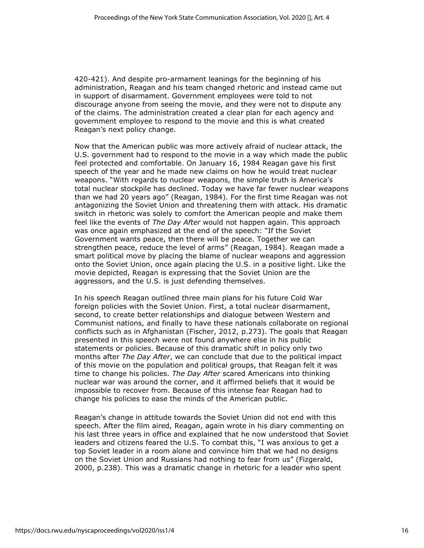420-421). And despite pro-armament leanings for the beginning of his administration, Reagan and his team changed rhetoric and instead came out in support of disarmament. Government employees were told to not discourage anyone from seeing the movie, and they were not to dispute any of the claims. The administration created a clear plan for each agency and government employee to respond to the movie and this is what created Reagan's next policy change.

Now that the American public was more actively afraid of nuclear attack, the U.S. government had to respond to the movie in a way which made the public feel protected and comfortable. On January 16, 1984 Reagan gave his first speech of the year and he made new claims on how he would treat nuclear weapons. "With regards to nuclear weapons, the simple truth is America's total nuclear stockpile has declined. Today we have far fewer nuclear weapons than we had 20 years ago" (Reagan, 1984). For the first time Reagan was not antagonizing the Soviet Union and threatening them with attack. His dramatic switch in rhetoric was solely to comfort the American people and make them feel like the events of *The Day After* would not happen again. This approach was once again emphasized at the end of the speech: "If the Soviet Government wants peace, then there will be peace. Together we can strengthen peace, reduce the level of arms" (Reagan, 1984). Reagan made a smart political move by placing the blame of nuclear weapons and aggression onto the Soviet Union, once again placing the U.S. in a positive light. Like the movie depicted, Reagan is expressing that the Soviet Union are the aggressors, and the U.S. is just defending themselves.

In his speech Reagan outlined three main plans for his future Cold War foreign policies with the Soviet Union. First, a total nuclear disarmament, second, to create better relationships and dialogue between Western and Communist nations, and finally to have these nationals collaborate on regional conflicts such as in Afghanistan (Fischer, 2012, p.273). The goals that Reagan presented in this speech were not found anywhere else in his public statements or policies. Because of this dramatic shift in policy only two months after *The Day After*, we can conclude that due to the political impact of this movie on the population and political groups, that Reagan felt it was time to change his policies. *The Day After* scared Americans into thinking nuclear war was around the corner, and it affirmed beliefs that it would be impossible to recover from. Because of this intense fear Reagan had to change his policies to ease the minds of the American public.

Reagan's change in attitude towards the Soviet Union did not end with this speech. After the film aired, Reagan, again wrote in his diary commenting on his last three years in office and explained that he now understood that Soviet leaders and citizens feared the U.S. To combat this, "I was anxious to get a top Soviet leader in a room alone and convince him that we had no designs on the Soviet Union and Russians had nothing to fear from us" (Fizgerald, 2000, p.238). This was a dramatic change in rhetoric for a leader who spent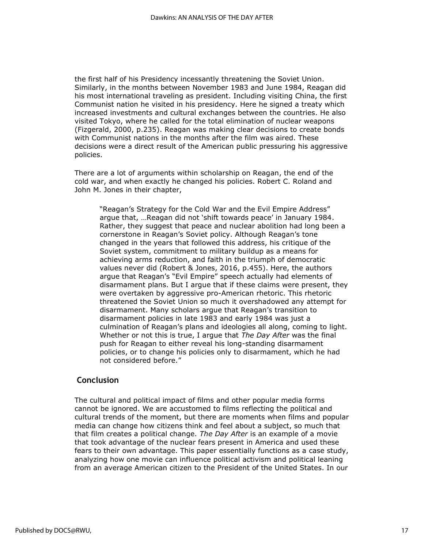the first half of his Presidency incessantly threatening the Soviet Union. Similarly, in the months between November 1983 and June 1984, Reagan did his most international traveling as president. Including visiting China, the first Communist nation he visited in his presidency. Here he signed a treaty which increased investments and cultural exchanges between the countries. He also visited Tokyo, where he called for the total elimination of nuclear weapons (Fizgerald, 2000, p.235). Reagan was making clear decisions to create bonds with Communist nations in the months after the film was aired. These decisions were a direct result of the American public pressuring his aggressive policies.

There are a lot of arguments within scholarship on Reagan, the end of the cold war, and when exactly he changed his policies. Robert C. Roland and John M. Jones in their chapter,

"Reagan's Strategy for the Cold War and the Evil Empire Address" argue that, …Reagan did not 'shift towards peace' in January 1984. Rather, they suggest that peace and nuclear abolition had long been a cornerstone in Reagan's Soviet policy. Although Reagan's tone changed in the years that followed this address, his critique of the Soviet system, commitment to military buildup as a means for achieving arms reduction, and faith in the triumph of democratic values never did (Robert & Jones, 2016, p.455). Here, the authors argue that Reagan's "Evil Empire" speech actually had elements of disarmament plans. But I argue that if these claims were present, they were overtaken by aggressive pro-American rhetoric. This rhetoric threatened the Soviet Union so much it overshadowed any attempt for disarmament. Many scholars argue that Reagan's transition to disarmament policies in late 1983 and early 1984 was just a culmination of Reagan's plans and ideologies all along, coming to light. Whether or not this is true, I argue that *The Day After* was the final push for Reagan to either reveal his long-standing disarmament policies, or to change his policies only to disarmament, which he had not considered before."

# **Conclusion**

The cultural and political impact of films and other popular media forms cannot be ignored. We are accustomed to films reflecting the political and cultural trends of the moment, but there are moments when films and popular media can change how citizens think and feel about a subject, so much that that film creates a political change. *The Day After* is an example of a movie that took advantage of the nuclear fears present in America and used these fears to their own advantage. This paper essentially functions as a case study, analyzing how one movie can influence political activism and political leaning from an average American citizen to the President of the United States. In our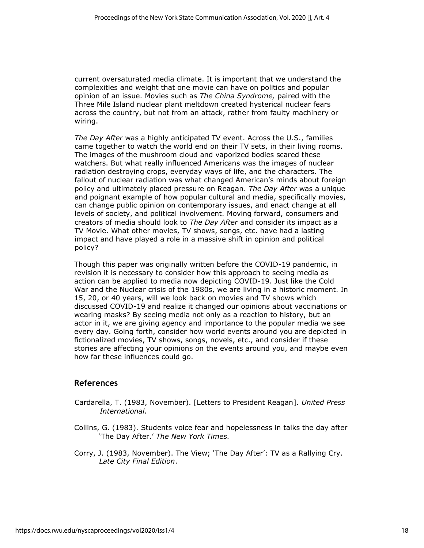current oversaturated media climate. It is important that we understand the complexities and weight that one movie can have on politics and popular opinion of an issue. Movies such as *The China Syndrome,* paired with the Three Mile Island nuclear plant meltdown created hysterical nuclear fears across the country, but not from an attack, rather from faulty machinery or wiring.

*The Day After* was a highly anticipated TV event. Across the U.S., families came together to watch the world end on their TV sets, in their living rooms. The images of the mushroom cloud and vaporized bodies scared these watchers. But what really influenced Americans was the images of nuclear radiation destroying crops, everyday ways of life, and the characters. The fallout of nuclear radiation was what changed American's minds about foreign policy and ultimately placed pressure on Reagan. *The Day After* was a unique and poignant example of how popular cultural and media, specifically movies, can change public opinion on contemporary issues, and enact change at all levels of society, and political involvement. Moving forward, consumers and creators of media should look to *The Day After* and consider its impact as a TV Movie. What other movies, TV shows, songs, etc. have had a lasting impact and have played a role in a massive shift in opinion and political policy?

Though this paper was originally written before the COVID-19 pandemic, in revision it is necessary to consider how this approach to seeing media as action can be applied to media now depicting COVID-19. Just like the Cold War and the Nuclear crisis of the 1980s, we are living in a historic moment. In 15, 20, or 40 years, will we look back on movies and TV shows which discussed COVID-19 and realize it changed our opinions about vaccinations or wearing masks? By seeing media not only as a reaction to history, but an actor in it, we are giving agency and importance to the popular media we see every day. Going forth, consider how world events around you are depicted in fictionalized movies, TV shows, songs, novels, etc., and consider if these stories are affecting your opinions on the events around you, and maybe even how far these influences could go.

#### **References**

- Cardarella, T. (1983, November). [Letters to President Reagan]. *United Press International.*
- Collins, G. (1983). Students voice fear and hopelessness in talks the day after 'The Day After.' *The New York Times.*
- Corry, J. (1983, November). The View; 'The Day After': TV as a Rallying Cry. *Late City Final Edition*.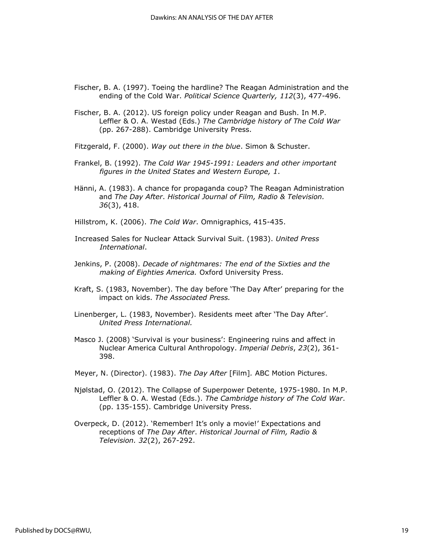- Fischer, B. A. (1997). Toeing the hardline? The Reagan Administration and the ending of the Cold War. *Political Science Quarterly, 112*(3), 477-496.
- Fischer, B. A. (2012). US foreign policy under Reagan and Bush. In M.P. Leffler & O. A. Westad (Eds.) *The Cambridge history of The Cold War* (pp. 267-288). Cambridge University Press.
- Fitzgerald, F. (2000). *Way out there in the blue*. Simon & Schuster.
- Frankel, B. (1992). *The Cold War 1945-1991: Leaders and other important figures in the United States and Western Europe, 1*.
- Hänni, A. (1983). A chance for propaganda coup? The Reagan Administration and *The Day After*. *Historical Journal of Film, Radio & Television. 36*(3), 418.
- Hillstrom, K. (2006). *The Cold War*. Omnigraphics, 415-435.
- Increased Sales for Nuclear Attack Survival Suit. (1983). *United Press International*.
- Jenkins, P. (2008). *Decade of nightmares: The end of the Sixties and the making of Eighties America.* Oxford University Press.
- Kraft, S. (1983, November). The day before 'The Day After' preparing for the impact on kids. *The Associated Press.*
- Linenberger, L. (1983, November). Residents meet after 'The Day After'. *United Press International.*
- Masco J. (2008) 'Survival is your business': Engineering ruins and affect in Nuclear America Cultural Anthropology. *Imperial Debris*, *23*(2), 361- 398.
- Meyer, N. (Director). (1983). *The Day After* [Film]*.* ABC Motion Pictures.
- Njølstad, O. (2012). The Collapse of Superpower Detente, 1975-1980. In M.P. Leffler & O. A. Westad (Eds.). *The Cambridge history of The Cold War*. (pp. 135-155). Cambridge University Press.
- Overpeck, D. (2012). 'Remember! It's only a movie!' Expectations and receptions of *The Day After*. *Historical Journal of Film, Radio & Television. 32*(2), 267-292.